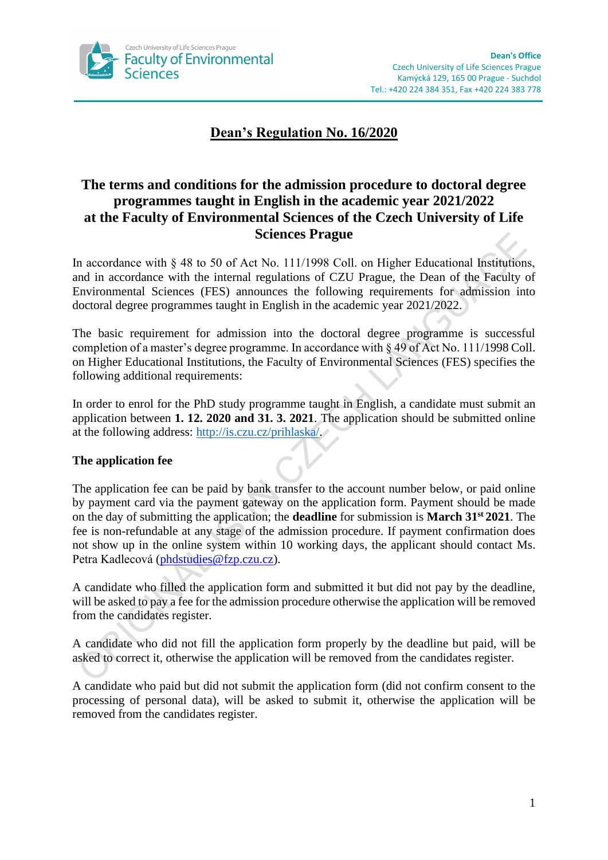

# **Dean's Regulation No. 16/2020**

# **The terms and conditions for the admission procedure to doctoral degree programmes taught in English in the academic year 2021/2022 at the Faculty of Environmental Sciences of the Czech University of Life Sciences Prague**

In accordance with  $\frac{848}{10}$  to 50 of Act No. 111/1998 Coll. on Higher Educational Institutions, and in accordance with the internal regulations of CZU Prague, the Dean of the Faculty of Environmental Sciences (FES) announces the following requirements for admission into doctoral degree programmes taught in English in the academic year 2021/2022.

The basic requirement for admission into the doctoral degree programme is successful completion of a master's degree programme. In accordance with § 49 of Act No. 111/1998 Coll. on Higher Educational Institutions, the Faculty of Environmental Sciences (FES) specifies the following additional requirements:

In order to enrol for the PhD study programme taught in English, a candidate must submit an application between **1. 12. 2020 and 31. 3. 2021**. The application should be submitted online at the following address: [http://is.czu.cz/prihlaska/.](http://is.czu.cz/prihlaska/)

# **The application fee**

The application fee can be paid by bank transfer to the account number below, or paid online by payment card via the payment gateway on the application form. Payment should be made on the day of submitting the application; the **deadline** for submission is **March 31st 2021**. The fee is non-refundable at any stage of the admission procedure. If payment confirmation does not show up in the online system within 10 working days, the applicant should contact Ms. Petra Kadlecová [\(phdstudies@fzp.czu.cz\)](mailto:phdstudies@fzp.czu.cz).

A candidate who filled the application form and submitted it but did not pay by the deadline, will be asked to pay a fee for the admission procedure otherwise the application will be removed from the candidates register.

A candidate who did not fill the application form properly by the deadline but paid, will be asked to correct it, otherwise the application will be removed from the candidates register.

A candidate who paid but did not submit the application form (did not confirm consent to the processing of personal data), will be asked to submit it, otherwise the application will be removed from the candidates register.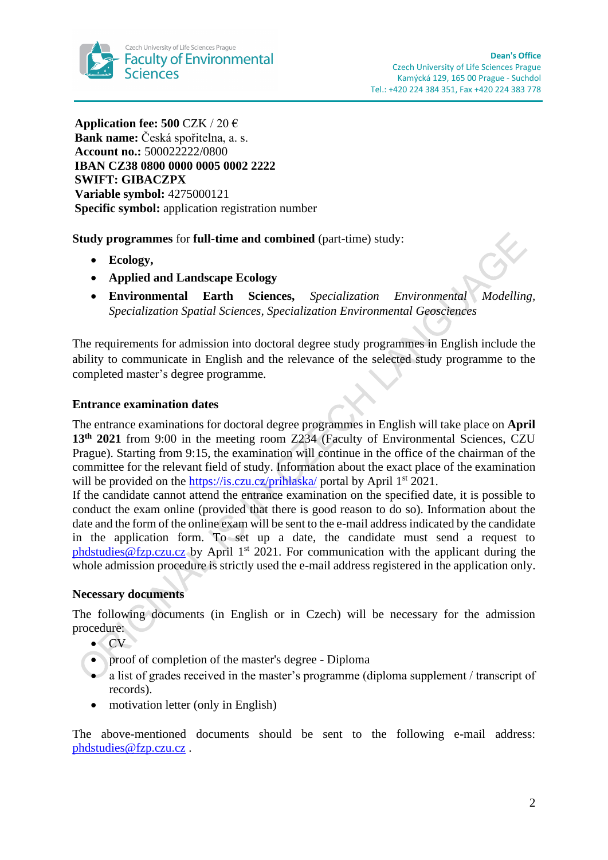

**Application fee: 500** CZK / 20 € **Bank name:** Česká spořitelna, a. s. **Account no.:** 500022222/0800 **IBAN CZ38 0800 0000 0005 0002 2222 SWIFT: GIBACZPX Variable symbol:** 4275000121 **Specific symbol:** application registration number

**Study programmes** for **full-time and combined** (part-time) study:

- **Ecology,**
- **Applied and Landscape Ecology**
- **Environmental Earth Sciences,** *Specialization Environmental Modelling, Specialization Spatial Sciences, Specialization Environmental Geosciences*

The requirements for admission into doctoral degree study programmes in English include the ability to communicate in English and the relevance of the selected study programme to the completed master's degree programme.

## **Entrance examination dates**

The entrance examinations for doctoral degree programmes in English will take place on **April** 13<sup>th</sup> 2021 from 9:00 in the meeting room Z234 (Faculty of Environmental Sciences, CZU Prague). Starting from 9:15, the examination will continue in the office of the chairman of the committee for the relevant field of study. Information about the exact place of the examination will be provided on the<https://is.czu.cz/prihlaska/> portal by April 1<sup>st</sup> 2021.

If the candidate cannot attend the entrance examination on the specified date, it is possible to conduct the exam online (provided that there is good reason to do so). Information about the date and the form of the online exam will be sent to the e-mail addressindicated by the candidate in the application form. To set up a date, the candidate must send a request to phdstudies @fzp.czu.cz by April 1<sup>st</sup> 2021. For communication with the applicant during the whole admission procedure is strictly used the e-mail address registered in the application only.

### **Necessary documents**

The following documents (in English or in Czech) will be necessary for the admission procedure:

• CV

- proof of completion of the master's degree Diploma
- a list of grades received in the master's programme (diploma supplement / transcript of records).
- motivation letter (only in English)

The above-mentioned documents should be sent to the following e-mail address: [phdstudies@fzp.czu.cz](mailto:phdstudies@fzp.czu.cz) .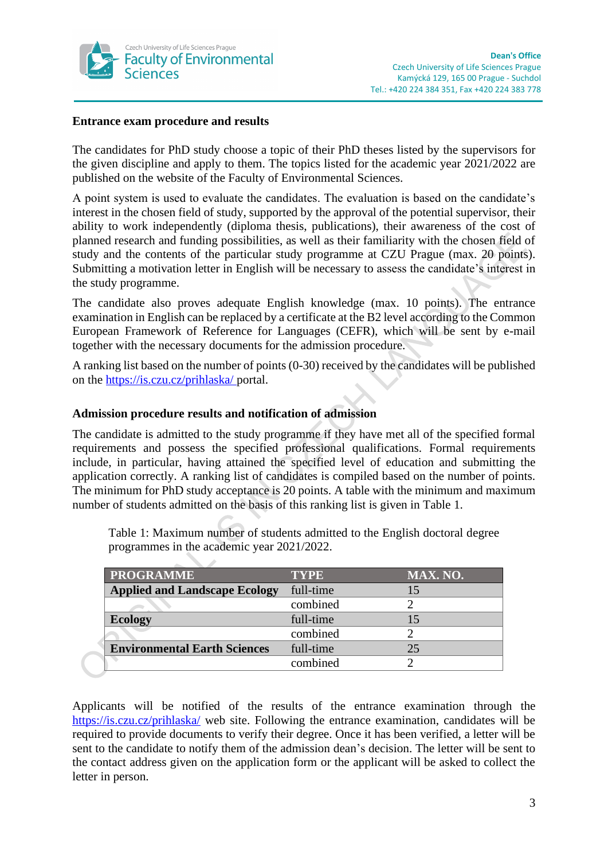

#### **Entrance exam procedure and results**

The candidates for PhD study choose a topic of their PhD theses listed by the supervisors for the given discipline and apply to them. The topics listed for the academic year 2021/2022 are published on the website of the Faculty of Environmental Sciences.

A point system is used to evaluate the candidates. The evaluation is based on the candidate's interest in the chosen field of study, supported by the approval of the potential supervisor, their ability to work independently (diploma thesis, publications), their awareness of the cost of planned research and funding possibilities, as well as their familiarity with the chosen field of study and the contents of the particular study programme at CZU Prague (max. 20 points). Submitting a motivation letter in English will be necessary to assess the candidate's interest in the study programme.

The candidate also proves adequate English knowledge (max. 10 points). The entrance examination in English can be replaced by a certificate at the B2 level according to the Common European Framework of Reference for Languages (CEFR), which will be sent by e-mail together with the necessary documents for the admission procedure.

A ranking list based on the number of points (0-30) received by the candidates will be published on the<https://is.czu.cz/prihlaska/> portal.

## **Admission procedure results and notification of admission**

The candidate is admitted to the study programme if they have met all of the specified formal requirements and possess the specified professional qualifications. Formal requirements include, in particular, having attained the specified level of education and submitting the application correctly. A ranking list of candidates is compiled based on the number of points. The minimum for PhD study acceptance is 20 points. A table with the minimum and maximum number of students admitted on the basis of this ranking list is given in Table 1.

Table 1: Maximum number of students admitted to the English doctoral degree programmes in the academic year 2021/2022.

| <b>PROGRAMME</b>                     | <b>TYPE</b> | <b>MAX. NO.</b> |
|--------------------------------------|-------------|-----------------|
| <b>Applied and Landscape Ecology</b> | full-time   |                 |
|                                      | combined    |                 |
| <b>Ecology</b>                       | full-time   |                 |
|                                      | combined    |                 |
| <b>Environmental Earth Sciences</b>  | full-time   | 25              |
|                                      | combined    |                 |

Applicants will be notified of the results of the entrance examination through the <https://is.czu.cz/prihlaska/> web site. Following the entrance examination, candidates will be required to provide documents to verify their degree. Once it has been verified, a letter will be sent to the candidate to notify them of the admission dean's decision. The letter will be sent to the contact address given on the application form or the applicant will be asked to collect the letter in person.